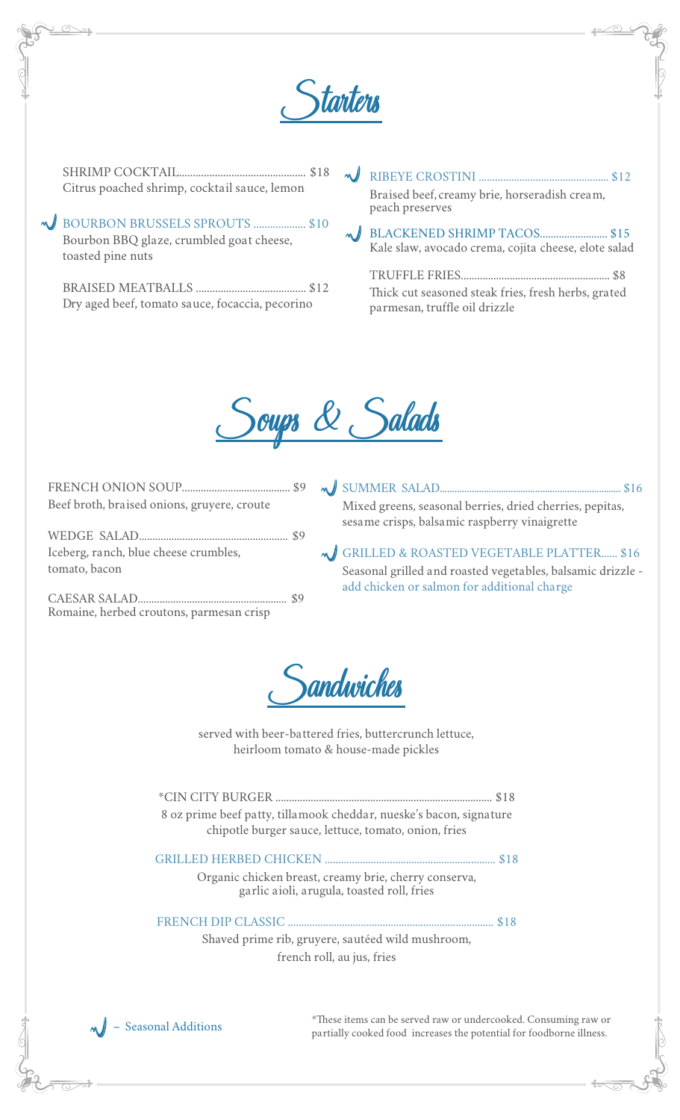

SHRIMP COCKTAIL.............................................. \$18 Citrus poached shrimp, cocktail sauce, lemon

BOURBON BRUSSELS SPROUTS ................... \$10 Bourbon BBQ glaze, crumbled goat cheese, toasted pine nuts

BRAISED MEATBALLS ........................................ \$12 Dry aged beef, tomato sauce, focaccia, pecorino

RIBEYE CROSTINI ................................................ \$12 Braised beef, creamy brie, horseradish cream, peach preserves

BLACKENED SHRIMP TACOS......................... \$15 Kale slaw, avocado crema, cojita cheese, elote salad

TRUFFLE FRIES....................................................... \$8 Thick cut seasoned steak fries, fresh herbs, grated parmesan, truffle oil drizzle



| Beef broth, braised onions, gruyere, croute            |  |
|--------------------------------------------------------|--|
| Iceberg, ranch, blue cheese crumbles,<br>tomato, bacon |  |
|                                                        |  |

FRICH ONION SOUP

CAESAR SALAD....................................................... \$9 Romaine, herbed croutons, parmesan crisp

SUMMER SALAD.......................................................................... \$16 Mixed greens, seasonal berries, dried cherries, pepitas, sesame crisps, balsamic raspberry vinaigrette

GRILLED & ROASTED VEGETABLE PLATTER...... \$16 Seasonal grilled and roasted vegetables, balsamic drizzle add chicken or salmon for additional charge



served with beer-battered fries, buttercrunch lettuce, heirloom tomato & house-made pickles

| 8 oz prime beef patty, tillamook cheddar, nueske's bacon, signature |      |
|---------------------------------------------------------------------|------|
| chipotle burger sauce, lettuce, tomato, onion, fries                |      |
|                                                                     |      |
|                                                                     |      |
| Organic chicken breast, creamy brie, cherry conserva,               |      |
| garlic aioli, arugula, toasted roll, fries                          |      |
|                                                                     | \$18 |
|                                                                     |      |
| Shaved prime rib, gruyere, sautéed wild mushroom,                   |      |
| french roll, au jus, fries                                          |      |
|                                                                     |      |



\*These items can be served raw or undercooked. Consuming raw or partially cooked food increases the potential for foodborne illness.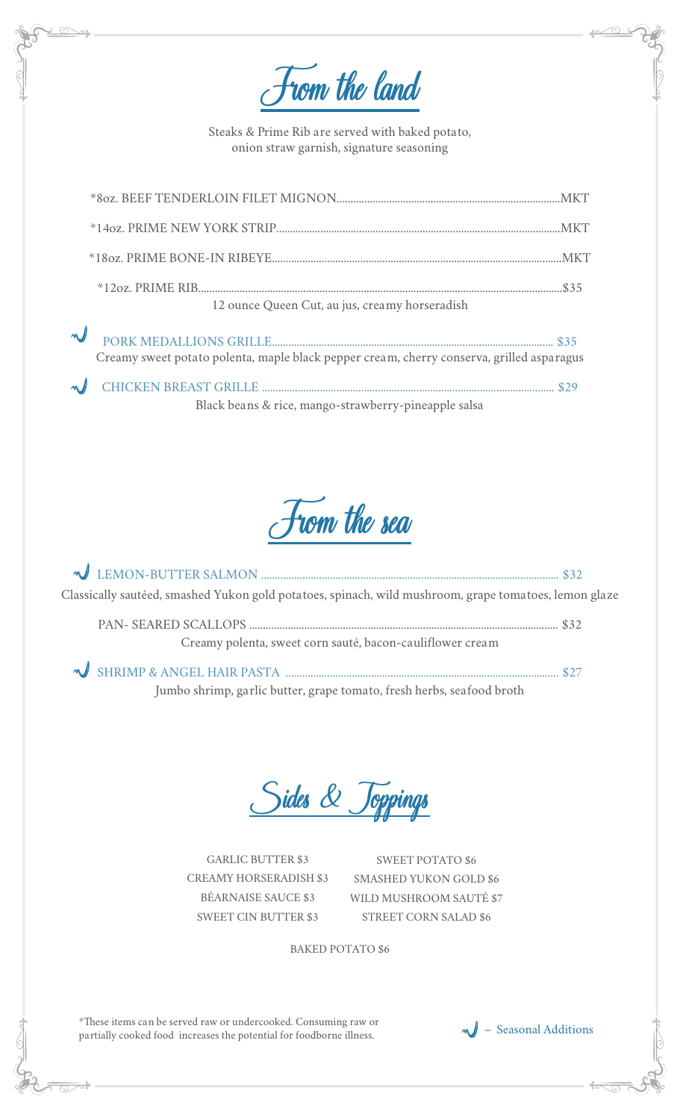From the land

Steaks & Prime Rib are served with baked potato, onion straw garnish, signature seasoning

| 12 ounce Queen Cut, au jus, creamy horseradish                                            |  |
|-------------------------------------------------------------------------------------------|--|
| Creamy sweet potato polenta, maple black pepper cream, cherry conserva, grilled asparagus |  |

CHICKEN BREAST GRILLE .......................................................................................................... \$29 Black beans & rice, mango-strawberry-pineapple salsa



| Classically sautéed, smashed Yukon gold potatoes, spinach, wild mushroom, grape tomatoes, lemon glaze |  |
|-------------------------------------------------------------------------------------------------------|--|
| Creamy polenta, sweet corn sauté, bacon-cauliflower cream                                             |  |
|                                                                                                       |  |

Jumbo shrimp, garlic butter, grape tomato, fresh herbs, seafood broth

Sides & Toppings

GARLIC BUTTER \$3 CREAMY HORSERADISH \$3 BÉARNAISE SAUCE \$3 SWEET CIN BUTTER \$3

SWEET POTATO \$6 SMASHED YUKON GOLD \$6 WILD MUSHROOM SAUTÉ \$7 STREET CORN SALAD \$6

BAKED POTATO \$6

\*These items can be served raw or undercooked. Consuming raw or partially cooked food increases the potential for foodborne illness.  $\mathbf{w}$  – Seasonal Additions